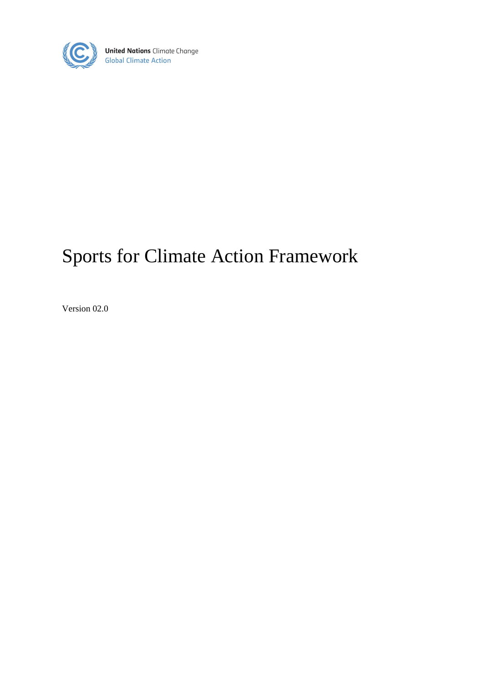

**United Nations** Climate Change<br>Global Climate Action

# Sports for Climate Action Framework

Version 02.0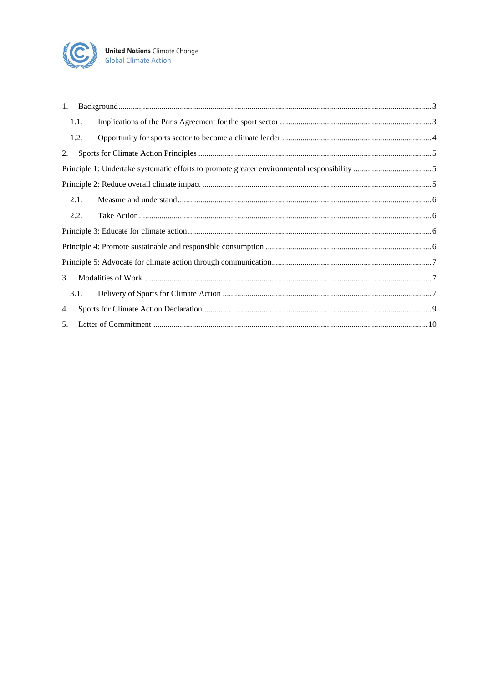

| 1. |      |  |  |
|----|------|--|--|
|    | 1.1. |  |  |
|    | 1.2. |  |  |
| 2. |      |  |  |
|    |      |  |  |
|    |      |  |  |
|    | 2.1. |  |  |
|    | 2.2. |  |  |
|    |      |  |  |
|    |      |  |  |
|    |      |  |  |
| 3. |      |  |  |
|    | 3.1. |  |  |
| 4. |      |  |  |
| 5. |      |  |  |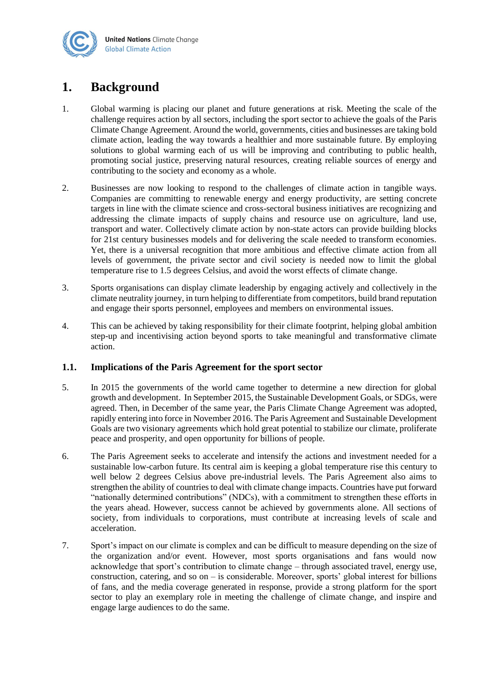

# <span id="page-2-0"></span>**1. Background**

- 1. Global warming is placing our planet and future generations at risk. Meeting the scale of the challenge requires action by all sectors, including the sport sector to achieve the goals of the Paris Climate Change Agreement. Around the world, governments, cities and businesses are taking bold climate action, leading the way towards a healthier and more sustainable future. By employing solutions to global warming each of us will be improving and contributing to public health, promoting social justice, preserving natural resources, creating reliable sources of energy and contributing to the society and economy as a whole.
- 2. Businesses are now looking to respond to the challenges of climate action in tangible ways. Companies are committing to renewable energy and energy productivity, are setting concrete targets in line with the climate science and cross-sectoral business initiatives are recognizing and addressing the climate impacts of supply chains and resource use on agriculture, land use, transport and water. Collectively climate action by non-state actors can provide building blocks for 21st century businesses models and for delivering the scale needed to transform economies. Yet, there is a universal recognition that more ambitious and effective climate action from all levels of government, the private sector and civil society is needed now to limit the global temperature rise to 1.5 degrees Celsius, and avoid the worst effects of climate change.
- 3. Sports organisations can display climate leadership by engaging actively and collectively in the climate neutrality journey, in turn helping to differentiate from competitors, build brand reputation and engage their sports personnel, employees and members on environmental issues.
- 4. This can be achieved by taking responsibility for their climate footprint, helping global ambition step-up and incentivising action beyond sports to take meaningful and transformative climate action.

### <span id="page-2-1"></span>**1.1. Implications of the Paris Agreement for the sport sector**

- 5. In 2015 the governments of the world came together to determine a new direction for global growth and development. In September 2015, the Sustainable Development Goals, or SDGs, were agreed. Then, in December of the same year, the Paris Climate Change Agreement was adopted, rapidly entering into force in November 2016. The Paris Agreement and Sustainable Development Goals are two visionary agreements which hold great potential to stabilize our climate, proliferate peace and prosperity, and open opportunity for billions of people.
- 6. The Paris Agreement seeks to accelerate and intensify the actions and investment needed for a sustainable low-carbon future. Its central aim is keeping a global temperature rise this century to well below 2 degrees Celsius above pre-industrial levels. The Paris Agreement also aims to strengthen the ability of countries to deal with climate change impacts. Countries have put forward "nationally determined contributions" (NDCs), with a commitment to strengthen these efforts in the years ahead. However, success cannot be achieved by governments alone. All sections of society, from individuals to corporations, must contribute at increasing levels of scale and acceleration.
- 7. Sport's impact on our climate is complex and can be difficult to measure depending on the size of the organization and/or event. However, most sports organisations and fans would now acknowledge that sport's contribution to climate change – through associated travel, energy use, construction, catering, and so on – is considerable. Moreover, sports' global interest for billions of fans, and the media coverage generated in response, provide a strong platform for the sport sector to play an exemplary role in meeting the challenge of climate change, and inspire and engage large audiences to do the same.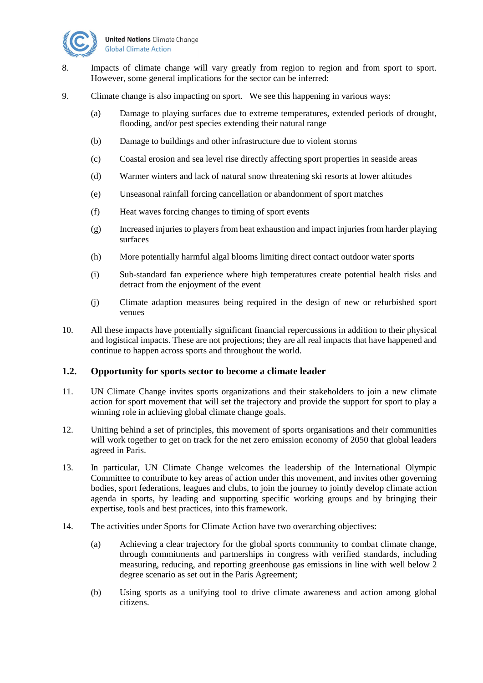

- 8. Impacts of climate change will vary greatly from region to region and from sport to sport. However, some general implications for the sector can be inferred:
- 9. Climate change is also impacting on sport. We see this happening in various ways:
	- (a) Damage to playing surfaces due to extreme temperatures, extended periods of drought, flooding, and/or pest species extending their natural range
	- (b) Damage to buildings and other infrastructure due to violent storms
	- (c) Coastal erosion and sea level rise directly affecting sport properties in seaside areas
	- (d) Warmer winters and lack of natural snow threatening ski resorts at lower altitudes
	- (e) Unseasonal rainfall forcing cancellation or abandonment of sport matches
	- (f) Heat waves forcing changes to timing of sport events
	- (g) Increased injuries to players from heat exhaustion and impact injuries from harder playing surfaces
	- (h) More potentially harmful algal blooms limiting direct contact outdoor water sports
	- (i) Sub-standard fan experience where high temperatures create potential health risks and detract from the enjoyment of the event
	- (j) Climate adaption measures being required in the design of new or refurbished sport venues
- 10. All these impacts have potentially significant financial repercussions in addition to their physical and logistical impacts. These are not projections; they are all real impacts that have happened and continue to happen across sports and throughout the world.

#### <span id="page-3-0"></span>**1.2. Opportunity for sports sector to become a climate leader**

- 11. UN Climate Change invites sports organizations and their stakeholders to join a new climate action for sport movement that will set the trajectory and provide the support for sport to play a winning role in achieving global climate change goals.
- 12. Uniting behind a set of principles, this movement of sports organisations and their communities will work together to get on track for the net zero emission economy of 2050 that global leaders agreed in Paris.
- 13. In particular, UN Climate Change welcomes the leadership of the International Olympic Committee to contribute to key areas of action under this movement, and invites other governing bodies, sport federations, leagues and clubs, to join the journey to jointly develop climate action agenda in sports, by leading and supporting specific working groups and by bringing their expertise, tools and best practices, into this framework.
- 14. The activities under Sports for Climate Action have two overarching objectives:
	- (a) Achieving a clear trajectory for the global sports community to combat climate change, through commitments and partnerships in congress with verified standards, including measuring, reducing, and reporting greenhouse gas emissions in line with well below 2 degree scenario as set out in the Paris Agreement;
	- (b) Using sports as a unifying tool to drive climate awareness and action among global citizens.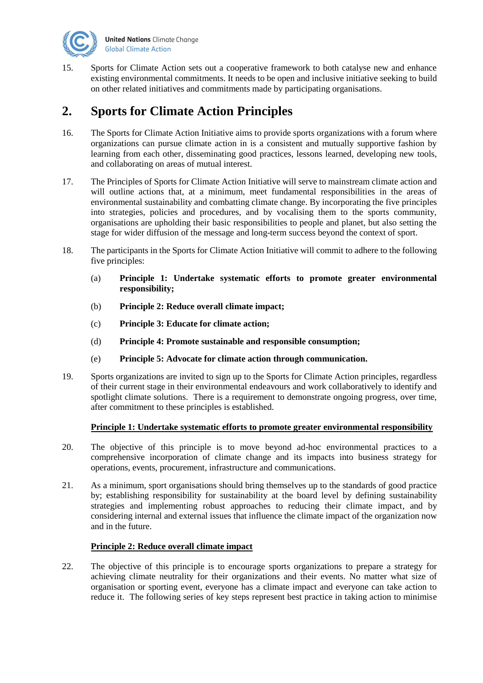

15. Sports for Climate Action sets out a cooperative framework to both catalyse new and enhance existing environmental commitments. It needs to be open and inclusive initiative seeking to build on other related initiatives and commitments made by participating organisations.

# <span id="page-4-0"></span>**2. Sports for Climate Action Principles**

- 16. The Sports for Climate Action Initiative aims to provide sports organizations with a forum where organizations can pursue climate action in is a consistent and mutually supportive fashion by learning from each other, disseminating good practices, lessons learned, developing new tools, and collaborating on areas of mutual interest.
- 17. The Principles of Sports for Climate Action Initiative will serve to mainstream climate action and will outline actions that, at a minimum, meet fundamental responsibilities in the areas of environmental sustainability and combatting climate change. By incorporating the five principles into strategies, policies and procedures, and by vocalising them to the sports community, organisations are upholding their basic responsibilities to people and planet, but also setting the stage for wider diffusion of the message and long-term success beyond the context of sport.
- 18. The participants in the Sports for Climate Action Initiative will commit to adhere to the following five principles:
	- (a) **Principle 1: Undertake systematic efforts to promote greater environmental responsibility;**
	- (b) **Principle 2: Reduce overall climate impact;**
	- (c) **Principle 3: Educate for climate action;**
	- (d) **Principle 4: Promote sustainable and responsible consumption;**
	- (e) **Principle 5: Advocate for climate action through communication.**
- 19. Sports organizations are invited to sign up to the Sports for Climate Action principles, regardless of their current stage in their environmental endeavours and work collaboratively to identify and spotlight climate solutions. There is a requirement to demonstrate ongoing progress, over time, after commitment to these principles is established.

### **Principle 1: Undertake systematic efforts to promote greater environmental responsibility**

- <span id="page-4-1"></span>20. The objective of this principle is to move beyond ad-hoc environmental practices to a comprehensive incorporation of climate change and its impacts into business strategy for operations, events, procurement, infrastructure and communications.
- 21. As a minimum, sport organisations should bring themselves up to the standards of good practice by; establishing responsibility for sustainability at the board level by defining sustainability strategies and implementing robust approaches to reducing their climate impact, and by considering internal and external issues that influence the climate impact of the organization now and in the future.

### **Principle 2: Reduce overall climate impact**

<span id="page-4-2"></span>22. The objective of this principle is to encourage sports organizations to prepare a strategy for achieving climate neutrality for their organizations and their events. No matter what size of organisation or sporting event, everyone has a climate impact and everyone can take action to reduce it. The following series of key steps represent best practice in taking action to minimise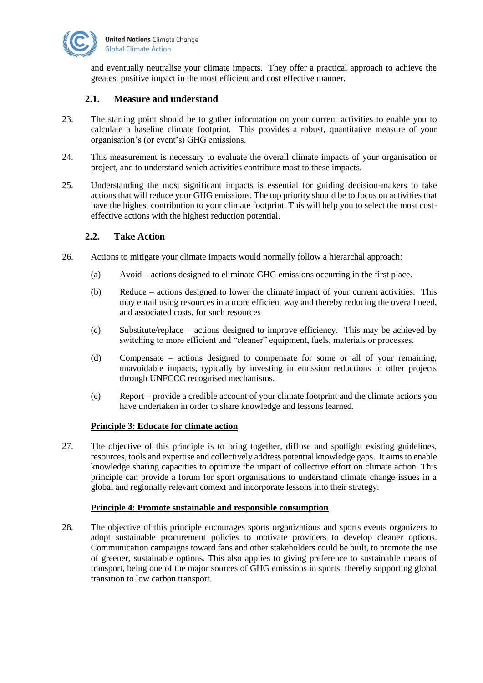

and eventually neutralise your climate impacts. They offer a practical approach to achieve the greatest positive impact in the most efficient and cost effective manner.

## <span id="page-5-0"></span>**2.1. Measure and understand**

- 23. The starting point should be to gather information on your current activities to enable you to calculate a baseline climate footprint. This provides a robust, quantitative measure of your organisation's (or event's) GHG emissions.
- 24. This measurement is necessary to evaluate the overall climate impacts of your organisation or project, and to understand which activities contribute most to these impacts.
- 25. Understanding the most significant impacts is essential for guiding decision-makers to take actions that will reduce your GHG emissions. The top priority should be to focus on activities that have the highest contribution to your climate footprint. This will help you to select the most costeffective actions with the highest reduction potential.

## <span id="page-5-1"></span>**2.2. Take Action**

- 26. Actions to mitigate your climate impacts would normally follow a hierarchal approach:
	- (a) Avoid actions designed to eliminate GHG emissions occurring in the first place.
	- (b) Reduce actions designed to lower the climate impact of your current activities. This may entail using resources in a more efficient way and thereby reducing the overall need, and associated costs, for such resources
	- (c) Substitute/replace actions designed to improve efficiency. This may be achieved by switching to more efficient and "cleaner" equipment, fuels, materials or processes.
	- (d) Compensate actions designed to compensate for some or all of your remaining, unavoidable impacts, typically by investing in emission reductions in other projects through UNFCCC recognised mechanisms.
	- (e) Report provide a credible account of your climate footprint and the climate actions you have undertaken in order to share knowledge and lessons learned.

#### **Principle 3: Educate for climate action**

<span id="page-5-2"></span>27. The objective of this principle is to bring together, diffuse and spotlight existing guidelines, resources, tools and expertise and collectively address potential knowledge gaps. It aims to enable knowledge sharing capacities to optimize the impact of collective effort on climate action. This principle can provide a forum for sport organisations to understand climate change issues in a global and regionally relevant context and incorporate lessons into their strategy.

#### **Principle 4: Promote sustainable and responsible consumption**

<span id="page-5-3"></span>28. The objective of this principle encourages sports organizations and sports events organizers to adopt sustainable procurement policies to motivate providers to develop cleaner options. Communication campaigns toward fans and other stakeholders could be built, to promote the use of greener, sustainable options. This also applies to giving preference to sustainable means of transport, being one of the major sources of GHG emissions in sports, thereby supporting global transition to low carbon transport.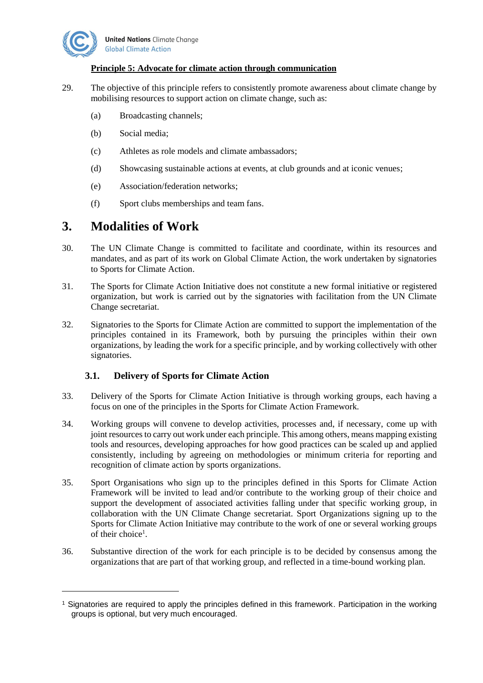

 $\overline{a}$ 

#### **Principle 5: Advocate for climate action through communication**

- <span id="page-6-0"></span>29. The objective of this principle refers to consistently promote awareness about climate change by mobilising resources to support action on climate change, such as:
	- (a) Broadcasting channels;
	- (b) Social media;
	- (c) Athletes as role models and climate ambassadors;
	- (d) Showcasing sustainable actions at events, at club grounds and at iconic venues;
	- (e) Association/federation networks;
	- (f) Sport clubs memberships and team fans.

## <span id="page-6-1"></span>**3. Modalities of Work**

- 30. The UN Climate Change is committed to facilitate and coordinate, within its resources and mandates, and as part of its work on Global Climate Action, the work undertaken by signatories to Sports for Climate Action.
- 31. The Sports for Climate Action Initiative does not constitute a new formal initiative or registered organization, but work is carried out by the signatories with facilitation from the UN Climate Change secretariat.
- 32. Signatories to the Sports for Climate Action are committed to support the implementation of the principles contained in its Framework, both by pursuing the principles within their own organizations, by leading the work for a specific principle, and by working collectively with other signatories.

### <span id="page-6-2"></span>**3.1. Delivery of Sports for Climate Action**

- 33. Delivery of the Sports for Climate Action Initiative is through working groups, each having a focus on one of the principles in the Sports for Climate Action Framework.
- 34. Working groups will convene to develop activities, processes and, if necessary, come up with joint resources to carry out work under each principle. This among others, means mapping existing tools and resources, developing approaches for how good practices can be scaled up and applied consistently, including by agreeing on methodologies or minimum criteria for reporting and recognition of climate action by sports organizations.
- 35. Sport Organisations who sign up to the principles defined in this Sports for Climate Action Framework will be invited to lead and/or contribute to the working group of their choice and support the development of associated activities falling under that specific working group, in collaboration with the UN Climate Change secretariat. Sport Organizations signing up to the Sports for Climate Action Initiative may contribute to the work of one or several working groups of their choice<sup>1</sup>.
- 36. Substantive direction of the work for each principle is to be decided by consensus among the organizations that are part of that working group, and reflected in a time-bound working plan.

<sup>&</sup>lt;sup>1</sup> Signatories are required to apply the principles defined in this framework. Participation in the working groups is optional, but very much encouraged.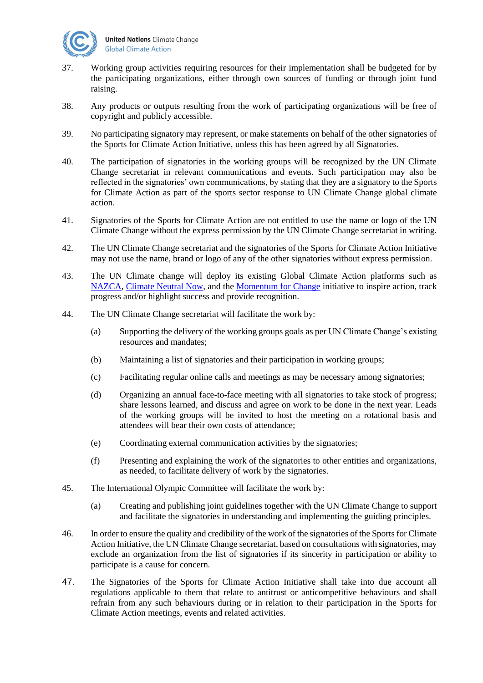

- 37. Working group activities requiring resources for their implementation shall be budgeted for by the participating organizations, either through own sources of funding or through joint fund raising.
- 38. Any products or outputs resulting from the work of participating organizations will be free of copyright and publicly accessible.
- 39. No participating signatory may represent, or make statements on behalf of the other signatories of the Sports for Climate Action Initiative, unless this has been agreed by all Signatories.
- 40. The participation of signatories in the working groups will be recognized by the UN Climate Change secretariat in relevant communications and events. Such participation may also be reflected in the signatories' own communications, by stating that they are a signatory to the Sports for Climate Action as part of the sports sector response to UN Climate Change global climate action.
- 41. Signatories of the Sports for Climate Action are not entitled to use the name or logo of the UN Climate Change without the express permission by the UN Climate Change secretariat in writing.
- 42. The UN Climate Change secretariat and the signatories of the Sports for Climate Action Initiative may not use the name, brand or logo of any of the other signatories without express permission.
- 43. The UN Climate change will deploy its existing Global Climate Action platforms such as [NAZCA,](http://climateaction.unfccc.int/) [Climate Neutral Now,](https://unfccc.int/climate-action/climate-neutral-now) and the [Momentum for Change](https://unfccc.int/climate-action/momentum-for-change) initiative to inspire action, track progress and/or highlight success and provide recognition.
- 44. The UN Climate Change secretariat will facilitate the work by:
	- (a) Supporting the delivery of the working groups goals as per UN Climate Change's existing resources and mandates;
	- (b) Maintaining a list of signatories and their participation in working groups;
	- (c) Facilitating regular online calls and meetings as may be necessary among signatories;
	- (d) Organizing an annual face-to-face meeting with all signatories to take stock of progress; share lessons learned, and discuss and agree on work to be done in the next year. Leads of the working groups will be invited to host the meeting on a rotational basis and attendees will bear their own costs of attendance;
	- (e) Coordinating external communication activities by the signatories;
	- (f) Presenting and explaining the work of the signatories to other entities and organizations, as needed, to facilitate delivery of work by the signatories.
- 45. The International Olympic Committee will facilitate the work by:
	- (a) Creating and publishing joint guidelines together with the UN Climate Change to support and facilitate the signatories in understanding and implementing the guiding principles.
- 46. In order to ensure the quality and credibility of the work of the signatories of the Sports for Climate Action Initiative, the UN Climate Change secretariat, based on consultations with signatories, may exclude an organization from the list of signatories if its sincerity in participation or ability to participate is a cause for concern.
- 47. The Signatories of the Sports for Climate Action Initiative shall take into due account all regulations applicable to them that relate to antitrust or anticompetitive behaviours and shall refrain from any such behaviours during or in relation to their participation in the Sports for Climate Action meetings, events and related activities.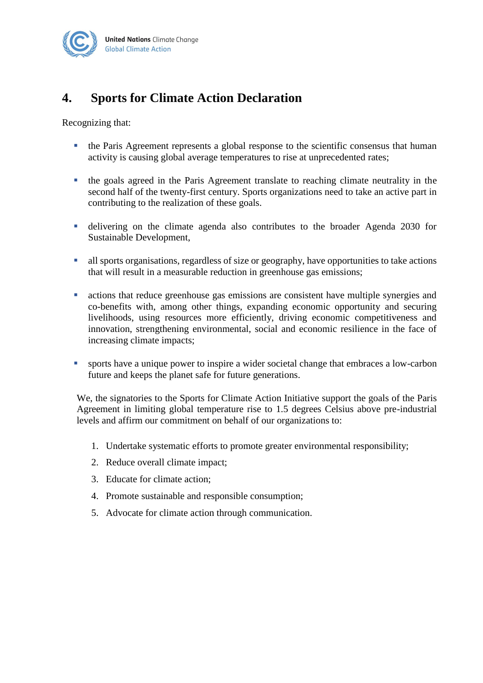

# <span id="page-8-0"></span>**4. Sports for Climate Action Declaration**

Recognizing that:

- the Paris Agreement represents a global response to the scientific consensus that human activity is causing global average temperatures to rise at unprecedented rates;
- the goals agreed in the Paris Agreement translate to reaching climate neutrality in the second half of the twenty-first century. Sports organizations need to take an active part in contributing to the realization of these goals.
- delivering on the climate agenda also contributes to the broader Agenda 2030 for Sustainable Development,
- all sports organisations, regardless of size or geography, have opportunities to take actions that will result in a measurable reduction in greenhouse gas emissions;
- actions that reduce greenhouse gas emissions are consistent have multiple synergies and co-benefits with, among other things, expanding economic opportunity and securing livelihoods, using resources more efficiently, driving economic competitiveness and innovation, strengthening environmental, social and economic resilience in the face of increasing climate impacts;
- sports have a unique power to inspire a wider societal change that embraces a low-carbon future and keeps the planet safe for future generations.

We, the signatories to the Sports for Climate Action Initiative support the goals of the Paris Agreement in limiting global temperature rise to 1.5 degrees Celsius above pre-industrial levels and affirm our commitment on behalf of our organizations to:

- 1. Undertake systematic efforts to promote greater environmental responsibility;
- 2. Reduce overall climate impact;
- 3. Educate for climate action;
- 4. Promote sustainable and responsible consumption;
- 5. Advocate for climate action through communication.